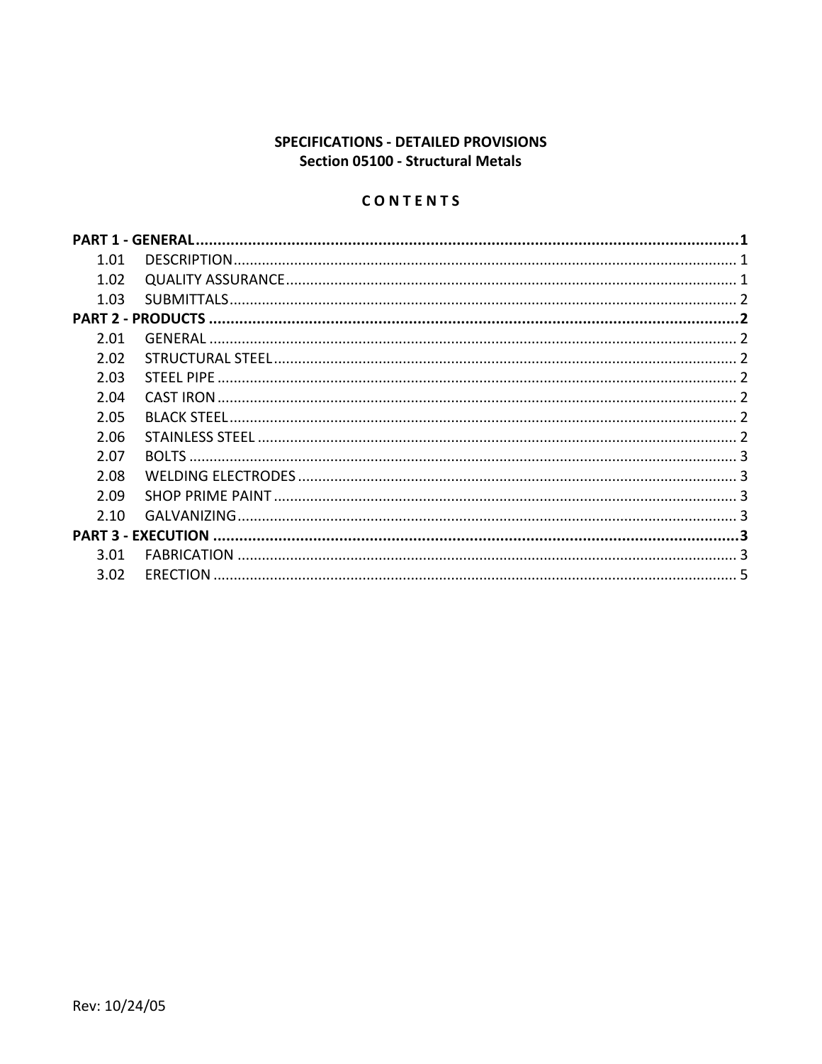## SPECIFICATIONS - DETAILED PROVISIONS **Section 05100 - Structural Metals**

## CONTENTS

| 1.01 |  |  |
|------|--|--|
| 1.02 |  |  |
| 1.03 |  |  |
|      |  |  |
| 2.01 |  |  |
| 2.02 |  |  |
| 2.03 |  |  |
| 2.04 |  |  |
| 2.05 |  |  |
| 2.06 |  |  |
| 2.07 |  |  |
| 2.08 |  |  |
| 2.09 |  |  |
| 2.10 |  |  |
|      |  |  |
| 3.01 |  |  |
| 3.02 |  |  |
|      |  |  |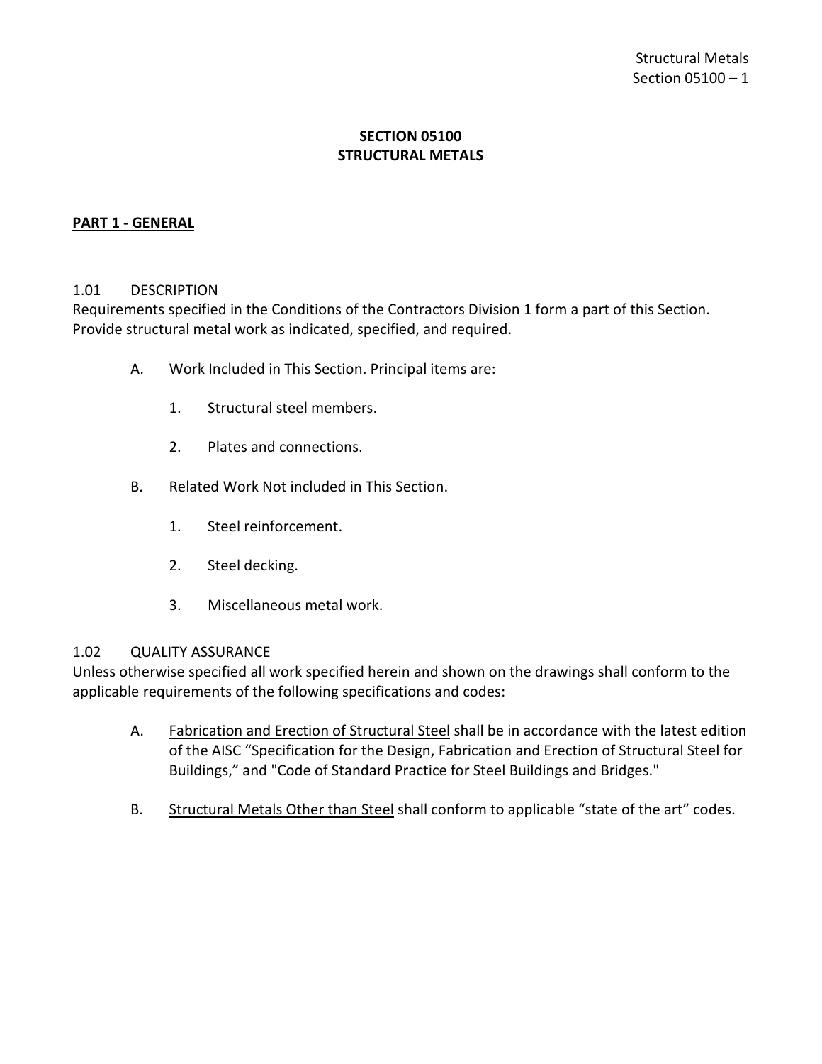## **SECTION 05100 STRUCTURAL METALS**

### <span id="page-2-0"></span>**PART 1 - GENERAL**

#### <span id="page-2-1"></span>1.01 DESCRIPTION

Requirements specified in the Conditions of the Contractors Division 1 form a part of this Section. Provide structural metal work as indicated, specified, and required.

- A. Work Included in This Section. Principal items are:
	- 1. Structural steel members.
	- 2. Plates and connections.
- B. Related Work Not included in This Section.
	- 1. Steel reinforcement.
	- 2. Steel decking.
	- 3. Miscellaneous metal work.

### <span id="page-2-2"></span>1.02 QUALITY ASSURANCE

Unless otherwise specified all work specified herein and shown on the drawings shall conform to the applicable requirements of the following specifications and codes:

- A. Fabrication and Erection of Structural Steel shall be in accordance with the latest edition of the AISC "Specification for the Design, Fabrication and Erection of Structural Steel for Buildings," and "Code of Standard Practice for Steel Buildings and Bridges."
- B. Structural Metals Other than Steel shall conform to applicable "state of the art" codes.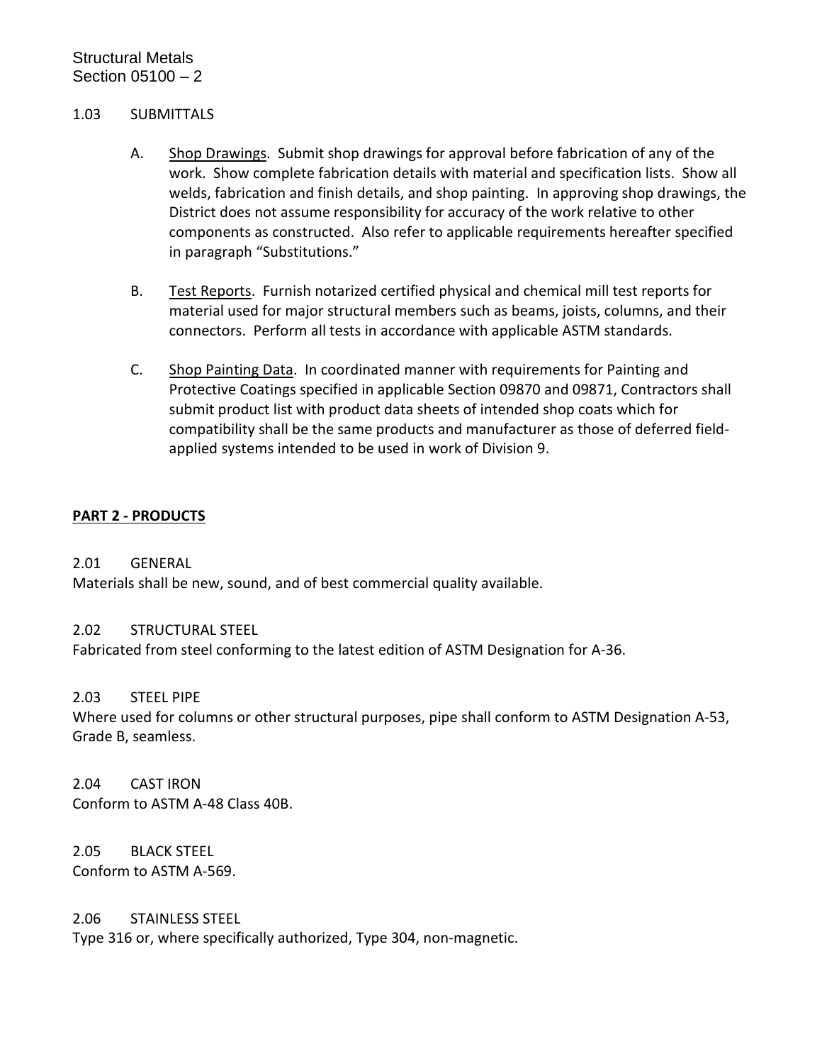#### <span id="page-3-0"></span>1.03 SUBMITTALS

- A. Shop Drawings. Submit shop drawings for approval before fabrication of any of the work. Show complete fabrication details with material and specification lists. Show all welds, fabrication and finish details, and shop painting. In approving shop drawings, the District does not assume responsibility for accuracy of the work relative to other components as constructed. Also refer to applicable requirements hereafter specified in paragraph "Substitutions."
- B. Test Reports. Furnish notarized certified physical and chemical mill test reports for material used for major structural members such as beams, joists, columns, and their connectors. Perform all tests in accordance with applicable ASTM standards.
- C. Shop Painting Data. In coordinated manner with requirements for Painting and Protective Coatings specified in applicable Section 09870 and 09871, Contractors shall submit product list with product data sheets of intended shop coats which for compatibility shall be the same products and manufacturer as those of deferred fieldapplied systems intended to be used in work of Division 9.

### <span id="page-3-1"></span>**PART 2 - PRODUCTS**

### <span id="page-3-2"></span>2.01 GENERAL

Materials shall be new, sound, and of best commercial quality available.

### <span id="page-3-3"></span>2.02 STRUCTURAL STEEL

Fabricated from steel conforming to the latest edition of ASTM Designation for A-36.

### <span id="page-3-4"></span>2.03 STEEL PIPE

Where used for columns or other structural purposes, pipe shall conform to ASTM Designation A-53, Grade B, seamless.

#### <span id="page-3-5"></span>2.04 CAST IRON

Conform to ASTM A-48 Class 40B.

<span id="page-3-6"></span>2.05 BLACK STEEL Conform to ASTM A-569.

### <span id="page-3-7"></span>2.06 STAINLESS STEEL

Type 316 or, where specifically authorized, Type 304, non-magnetic.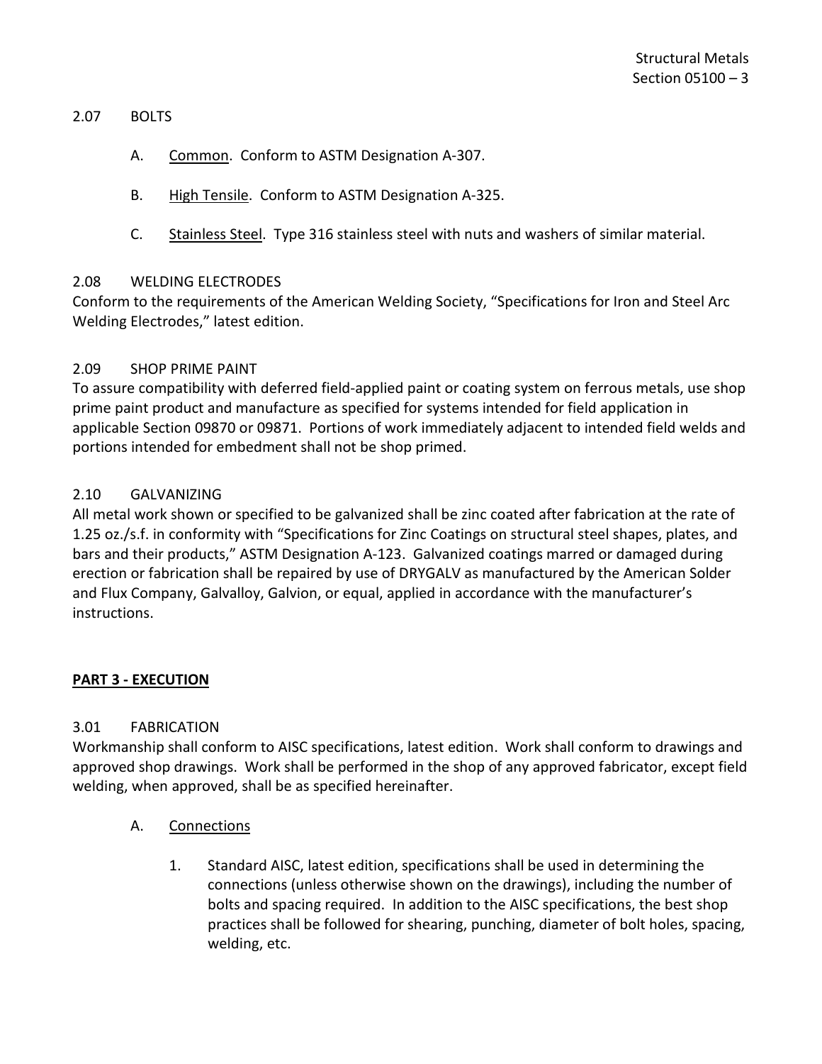#### <span id="page-4-0"></span>2.07 BOLTS

- A. Common. Conform to ASTM Designation A-307.
- B. High Tensile. Conform to ASTM Designation A-325.
- C. Stainless Steel. Type 316 stainless steel with nuts and washers of similar material.

### <span id="page-4-1"></span>2.08 WELDING ELECTRODES

Conform to the requirements of the American Welding Society, "Specifications for Iron and Steel Arc Welding Electrodes," latest edition.

### <span id="page-4-2"></span>2.09 SHOP PRIME PAINT

To assure compatibility with deferred field-applied paint or coating system on ferrous metals, use shop prime paint product and manufacture as specified for systems intended for field application in applicable Section 09870 or 09871. Portions of work immediately adjacent to intended field welds and portions intended for embedment shall not be shop primed.

### <span id="page-4-3"></span>2.10 GALVANIZING

All metal work shown or specified to be galvanized shall be zinc coated after fabrication at the rate of 1.25 oz./s.f. in conformity with "Specifications for Zinc Coatings on structural steel shapes, plates, and bars and their products," ASTM Designation A-123. Galvanized coatings marred or damaged during erection or fabrication shall be repaired by use of DRYGALV as manufactured by the American Solder and Flux Company, Galvalloy, Galvion, or equal, applied in accordance with the manufacturer's instructions.

## <span id="page-4-4"></span>**PART 3 - EXECUTION**

## <span id="page-4-5"></span>3.01 FABRICATION

Workmanship shall conform to AISC specifications, latest edition. Work shall conform to drawings and approved shop drawings. Work shall be performed in the shop of any approved fabricator, except field welding, when approved, shall be as specified hereinafter.

- A. Connections
	- 1. Standard AISC, latest edition, specifications shall be used in determining the connections (unless otherwise shown on the drawings), including the number of bolts and spacing required. In addition to the AISC specifications, the best shop practices shall be followed for shearing, punching, diameter of bolt holes, spacing, welding, etc.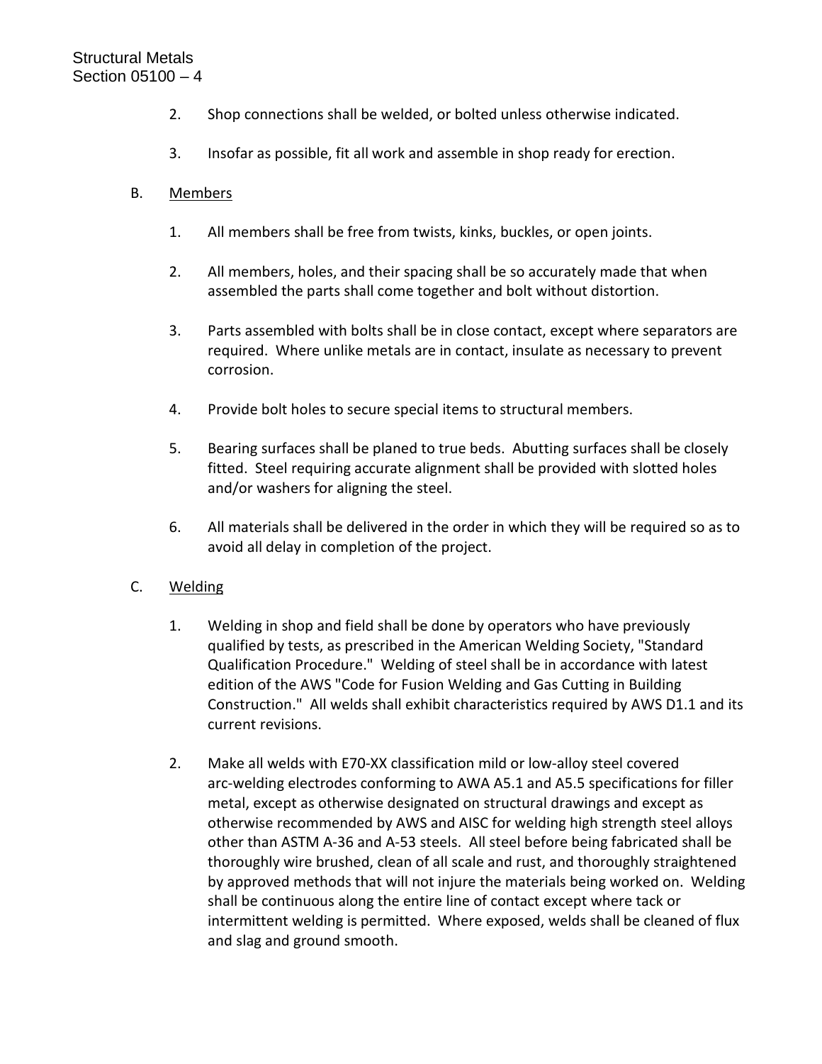- 2. Shop connections shall be welded, or bolted unless otherwise indicated.
- 3. Insofar as possible, fit all work and assemble in shop ready for erection.

## B. Members

- 1. All members shall be free from twists, kinks, buckles, or open joints.
- 2. All members, holes, and their spacing shall be so accurately made that when assembled the parts shall come together and bolt without distortion.
- 3. Parts assembled with bolts shall be in close contact, except where separators are required. Where unlike metals are in contact, insulate as necessary to prevent corrosion.
- 4. Provide bolt holes to secure special items to structural members.
- 5. Bearing surfaces shall be planed to true beds. Abutting surfaces shall be closely fitted. Steel requiring accurate alignment shall be provided with slotted holes and/or washers for aligning the steel.
- 6. All materials shall be delivered in the order in which they will be required so as to avoid all delay in completion of the project.

## C. Welding

- 1. Welding in shop and field shall be done by operators who have previously qualified by tests, as prescribed in the American Welding Society, "Standard Qualification Procedure." Welding of steel shall be in accordance with latest edition of the AWS "Code for Fusion Welding and Gas Cutting in Building Construction." All welds shall exhibit characteristics required by AWS D1.1 and its current revisions.
- 2. Make all welds with E70-XX classification mild or low-alloy steel covered arc-welding electrodes conforming to AWA A5.1 and A5.5 specifications for filler metal, except as otherwise designated on structural drawings and except as otherwise recommended by AWS and AISC for welding high strength steel alloys other than ASTM A-36 and A-53 steels. All steel before being fabricated shall be thoroughly wire brushed, clean of all scale and rust, and thoroughly straightened by approved methods that will not injure the materials being worked on. Welding shall be continuous along the entire line of contact except where tack or intermittent welding is permitted. Where exposed, welds shall be cleaned of flux and slag and ground smooth.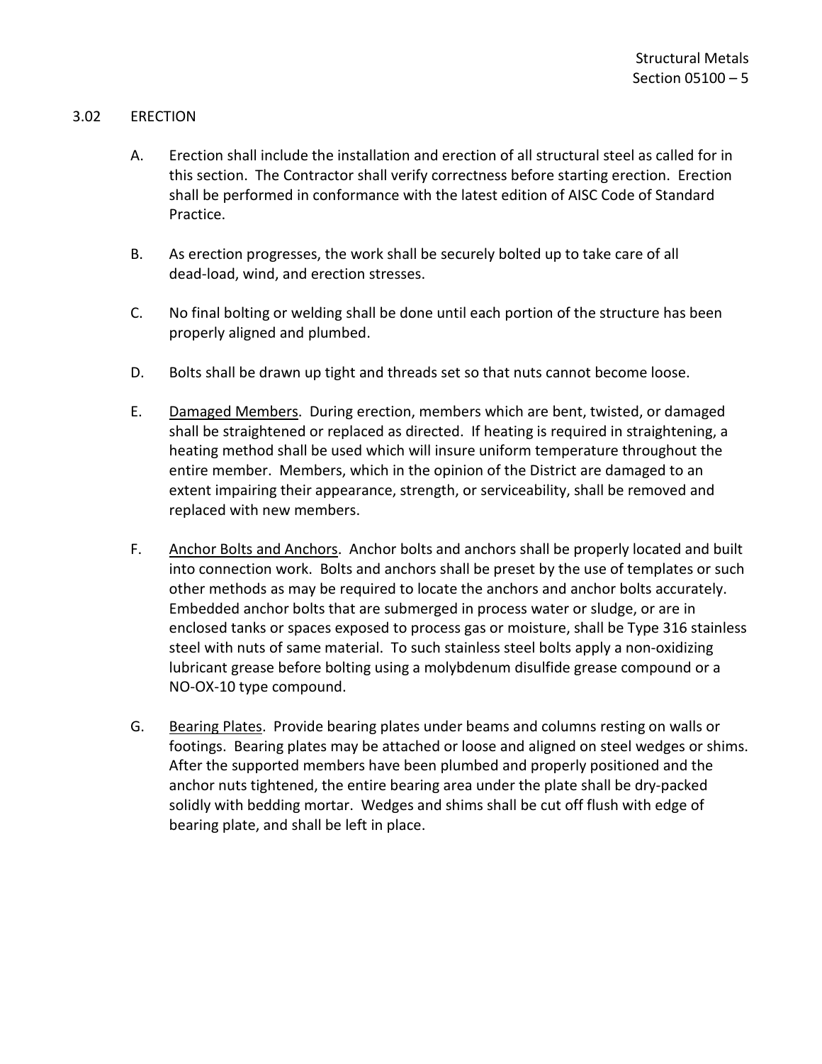### <span id="page-6-0"></span>3.02 ERECTION

- A. Erection shall include the installation and erection of all structural steel as called for in this section. The Contractor shall verify correctness before starting erection. Erection shall be performed in conformance with the latest edition of AISC Code of Standard Practice.
- B. As erection progresses, the work shall be securely bolted up to take care of all dead-load, wind, and erection stresses.
- C. No final bolting or welding shall be done until each portion of the structure has been properly aligned and plumbed.
- D. Bolts shall be drawn up tight and threads set so that nuts cannot become loose.
- E. Damaged Members. During erection, members which are bent, twisted, or damaged shall be straightened or replaced as directed. If heating is required in straightening, a heating method shall be used which will insure uniform temperature throughout the entire member. Members, which in the opinion of the District are damaged to an extent impairing their appearance, strength, or serviceability, shall be removed and replaced with new members.
- F. Anchor Bolts and Anchors. Anchor bolts and anchors shall be properly located and built into connection work. Bolts and anchors shall be preset by the use of templates or such other methods as may be required to locate the anchors and anchor bolts accurately. Embedded anchor bolts that are submerged in process water or sludge, or are in enclosed tanks or spaces exposed to process gas or moisture, shall be Type 316 stainless steel with nuts of same material. To such stainless steel bolts apply a non-oxidizing lubricant grease before bolting using a molybdenum disulfide grease compound or a NO-OX-10 type compound.
- G. Bearing Plates. Provide bearing plates under beams and columns resting on walls or footings. Bearing plates may be attached or loose and aligned on steel wedges or shims. After the supported members have been plumbed and properly positioned and the anchor nuts tightened, the entire bearing area under the plate shall be dry-packed solidly with bedding mortar. Wedges and shims shall be cut off flush with edge of bearing plate, and shall be left in place.